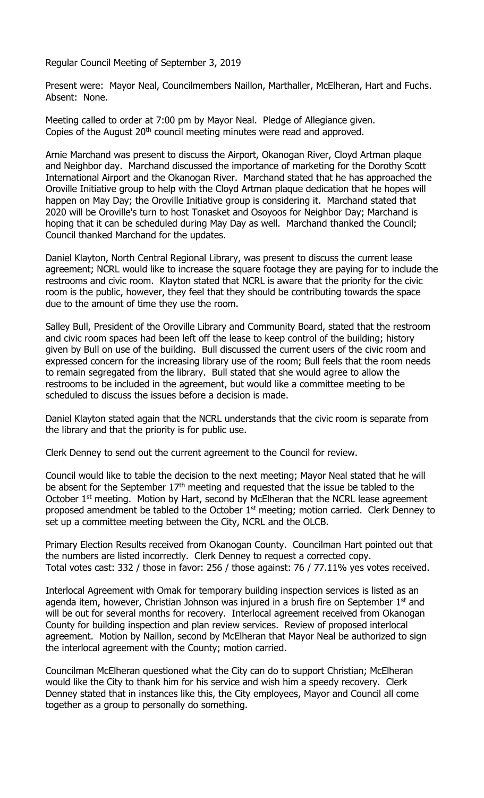Regular Council Meeting of September 3, 2019

Present were: Mayor Neal, Councilmembers Naillon, Marthaller, McElheran, Hart and Fuchs. Absent: None.

Meeting called to order at 7:00 pm by Mayor Neal. Pledge of Allegiance given. Copies of the August 20<sup>th</sup> council meeting minutes were read and approved.

Arnie Marchand was present to discuss the Airport, Okanogan River, Cloyd Artman plaque and Neighbor day. Marchand discussed the importance of marketing for the Dorothy Scott International Airport and the Okanogan River. Marchand stated that he has approached the Oroville Initiative group to help with the Cloyd Artman plaque dedication that he hopes will happen on May Day; the Oroville Initiative group is considering it. Marchand stated that 2020 will be Oroville's turn to host Tonasket and Osoyoos for Neighbor Day; Marchand is hoping that it can be scheduled during May Day as well. Marchand thanked the Council; Council thanked Marchand for the updates.

Daniel Klayton, North Central Regional Library, was present to discuss the current lease agreement; NCRL would like to increase the square footage they are paying for to include the restrooms and civic room. Klayton stated that NCRL is aware that the priority for the civic room is the public, however, they feel that they should be contributing towards the space due to the amount of time they use the room.

Salley Bull, President of the Oroville Library and Community Board, stated that the restroom and civic room spaces had been left off the lease to keep control of the building; history given by Bull on use of the building. Bull discussed the current users of the civic room and expressed concern for the increasing library use of the room; Bull feels that the room needs to remain segregated from the library. Bull stated that she would agree to allow the restrooms to be included in the agreement, but would like a committee meeting to be scheduled to discuss the issues before a decision is made.

Daniel Klayton stated again that the NCRL understands that the civic room is separate from the library and that the priority is for public use.

Clerk Denney to send out the current agreement to the Council for review.

Council would like to table the decision to the next meeting; Mayor Neal stated that he will be absent for the September  $17<sup>th</sup>$  meeting and requested that the issue be tabled to the October 1<sup>st</sup> meeting. Motion by Hart, second by McElheran that the NCRL lease agreement proposed amendment be tabled to the October 1<sup>st</sup> meeting; motion carried. Clerk Denney to set up a committee meeting between the City, NCRL and the OLCB.

Primary Election Results received from Okanogan County. Councilman Hart pointed out that the numbers are listed incorrectly. Clerk Denney to request a corrected copy. Total votes cast: 332 / those in favor: 256 / those against: 76 / 77.11% yes votes received.

Interlocal Agreement with Omak for temporary building inspection services is listed as an agenda item, however, Christian Johnson was injured in a brush fire on September  $1<sup>st</sup>$  and will be out for several months for recovery. Interlocal agreement received from Okanogan County for building inspection and plan review services. Review of proposed interlocal agreement. Motion by Naillon, second by McElheran that Mayor Neal be authorized to sign the interlocal agreement with the County; motion carried.

Councilman McElheran questioned what the City can do to support Christian; McElheran would like the City to thank him for his service and wish him a speedy recovery. Clerk Denney stated that in instances like this, the City employees, Mayor and Council all come together as a group to personally do something.